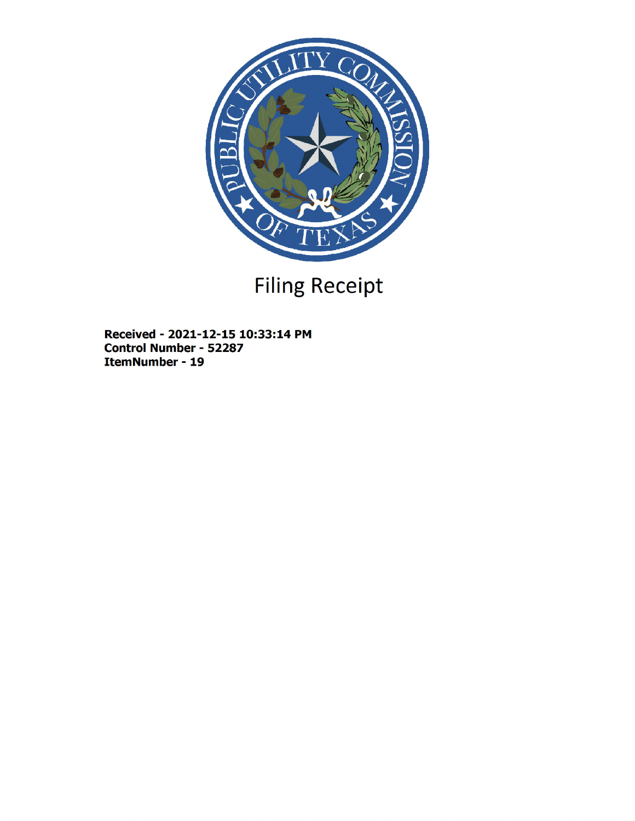

# Filing Receipt

Received - 2021-12-15 10:33:14 PM Control Number - 52287 ItemNumber - 19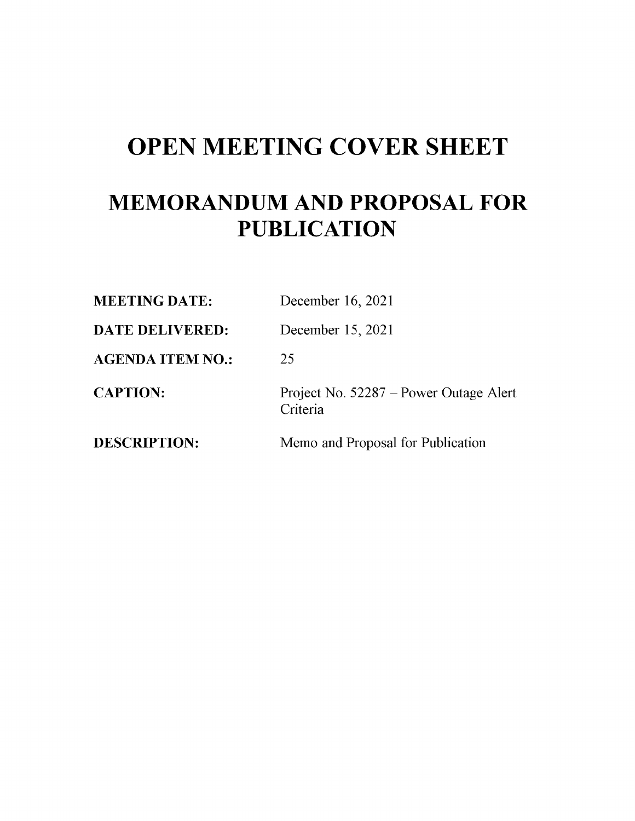## OPEN MEETING COVER SHEET

### MEMORANDUM AND PROPOSAL FOR **PUBLICATION**

| <b>MEETING DATE:</b>   | December 16, 2021                                  |
|------------------------|----------------------------------------------------|
| <b>DATE DELIVERED:</b> | December 15, 2021                                  |
| AGENDA ITEM NO.:       | 25                                                 |
| <b>CAPTION:</b>        | Project No. 52287 – Power Outage Alert<br>Criteria |
| <b>DESCRIPTION:</b>    | Memo and Proposal for Publication                  |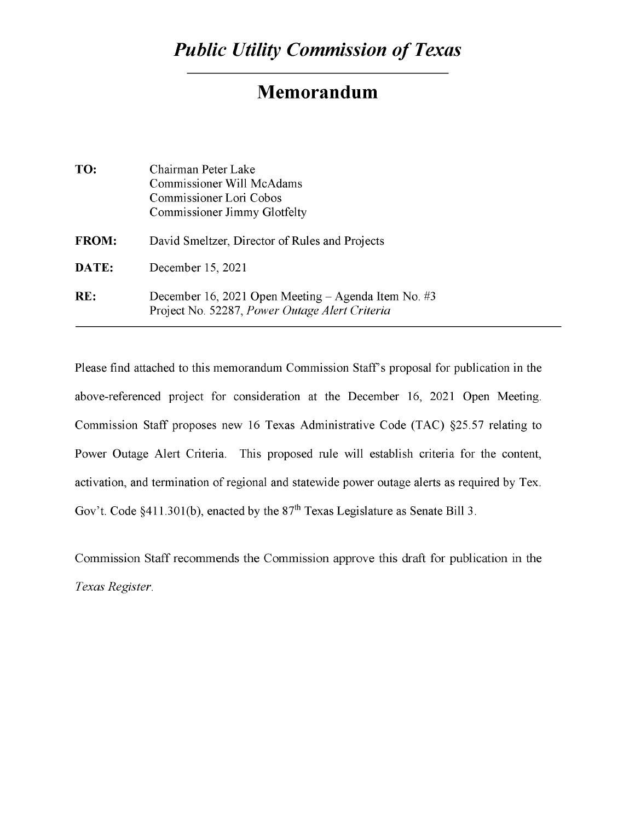### Memorandum

| TO:          | Chairman Peter Lake<br>Commissioner Will McAdams<br>Commissioner Lori Cobos<br>Commissioner Jimmy Glotfelty |
|--------------|-------------------------------------------------------------------------------------------------------------|
| <b>FROM:</b> | David Smeltzer, Director of Rules and Projects                                                              |
| DATE:        | December 15, 2021                                                                                           |
| RE:          | December 16, 2021 Open Meeting – Agenda Item No. #3<br>Project No. 52287, Power Outage Alert Criteria       |

Please find attached to this memorandum Commission Staff's proposal for publication in the above-referenced project for consideration at the December 16, 2021 Open Meeting. Commission Staff proposes new 16 Texas Administrative Code (TAC) §25.57 relating to Power Outage Alert Criteria. This proposed rule will establish criteria for the content, activation, and termination of regional and statewide power outage alerts as required by Tex. Gov't. Code §411.301(b), enacted by the  $87<sup>th</sup>$  Texas Legislature as Senate Bill 3.

Commission Staff recommends the Commission approve this draft for publication in the *Texas Register.*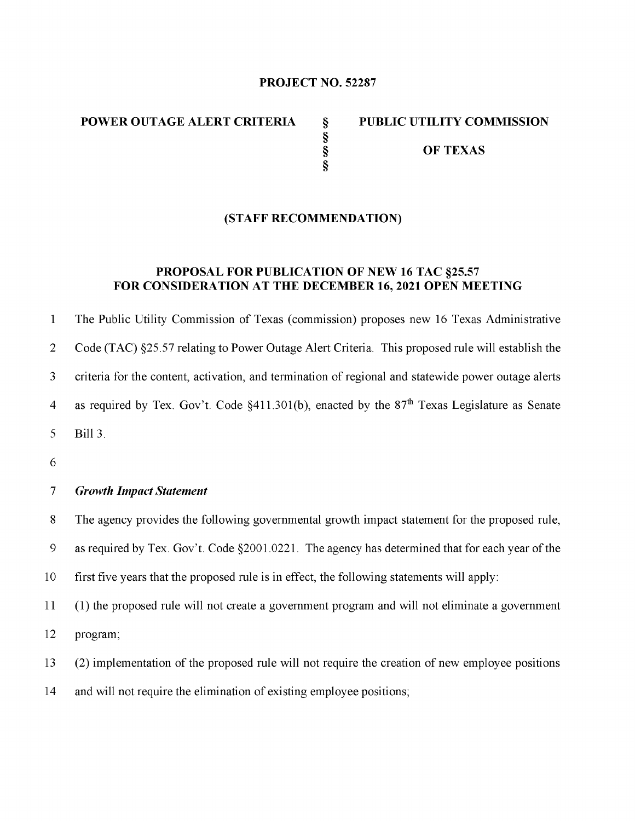#### PROJECT NO. 52287

§

§

#### POWER OUTAGE ALERT CRITERIA § PUBLIC UTILITY COMMISSION

§ OF TEXAS

#### (STAFF RECOMMENDATION)

#### PROPOSAL FOR PUBLICATION OF NEW 16 TAC §25.57 FOR CONSIDERATION AT THE DECEMBER 16, 2021 OPEN MEETING

1 The Public Utility Commission of Texas (commission) proposes new 16 Texas Administrative 2 Code (TAC) §25.57 relating to Power Outage Alert Criteria. This proposed rule will establish the 3 criteria for the content, activation, and termination of regional and statewide power outage alerts 4 as required by Tex. Gov't. Code  $\S411.301(b)$ , enacted by the  $87<sup>th</sup>$  Texas Legislature as Senate 5 Bill 3.

6

#### *7 Growth Impact Statement*

8 The agency provides the following governmental growth impact statement for the proposed rule,

9 as required by Tex. Gov't. Code §2001.0221. The agency has determined that for each year of the

10 first five years that the proposed rule is in effect, the following statements will apply:

11 (1) the proposed rule will not create a government program and will not eliminate a government 12 program;

13 (2) implementation of the proposed rule will not require the creation of new employee positions

14 and will not require the elimination of existing employee positions;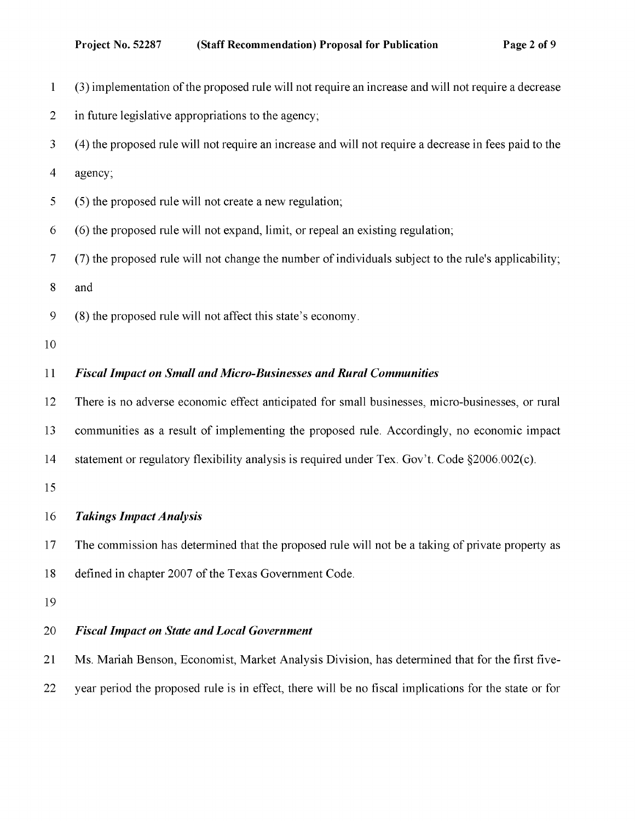- 1 (3) implementation ofthe proposed rule will not require an increase and will not require a decrease
- 2 in future legislative appropriations to the agency;
- 3 (4) the proposed rule will not require an increase and will not require a decrease in fees paid to the
- 4 agency;
- 5 (5) the proposed rule will not create a new regulation;
- 6 (6) the proposed rule will not expand, limit, or repeal an existing regulation;
- 7 (7) the proposed rule will not change the number of individuals subject to the rule's applicability;
- 8 and
- 9 (8) the proposed rule will not affect this state's economy.
- 10

#### *11 Fiscal Impact on Small and Micro-Businesses and Rural Communities*

12 There is no adverse economic effect anticipated for small businesses, micro-businesses, or rural

- 13 communities as a result of implementing the proposed rule. Accordingly, no economic impact
- 14 statement or regulatory flexibility analysis is required under Tex. Gov't. Code §2006.002(c).

15

#### *16 Takings Impact Analysis*

17 The commission has determined that the proposed rule will not be a taking of private property as 18 defined in chapter 2007 of the Texas Government Code.

19

#### *20 Fiscal Impact on State and Local Government*

21 Ms. Mariah Benson, Economist, Market Analysis Division, has determined that for the first five-22 year period the proposed rule is in effect, there will be no fiscal implications for the state or for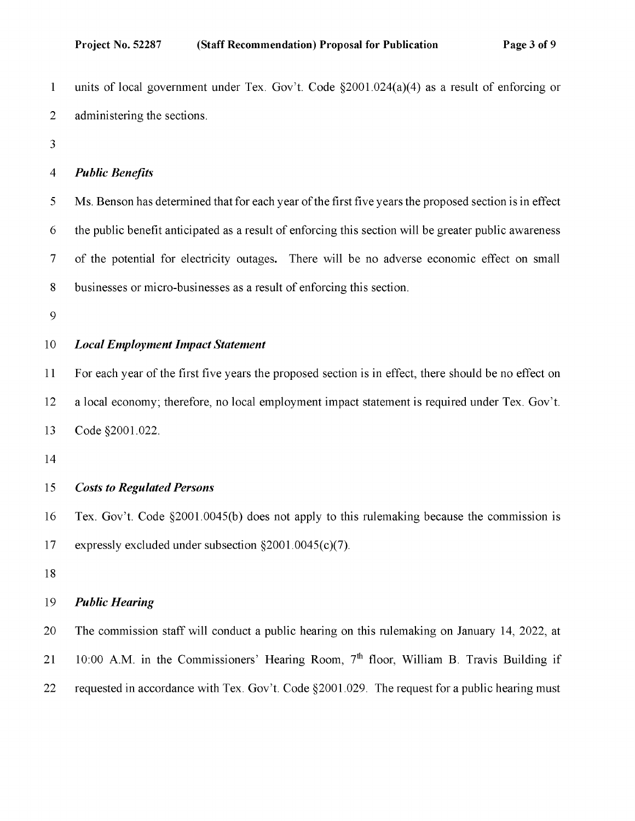1 units of local government under Tex. Gov't. Code §2001.024(a)(4) as a result of enforcing or 2 administering the sections.

3

#### *4 Public Benefits*

5 Ms. Benson has determined that for each year of the first five years the proposed section is in effect 6 the public benefit anticipated as a result of enforcing this section will be greater public awareness 7 of the potential for electricity outages. There will be no adverse economic effect on small 8 businesses or micro-businesses as a result of enforcing this section.

9

#### *10 Local Employment Impact Statement*

11 For each year of the first five years the proposed section is in effect, there should be no effect on 12 a local economy; therefore, no local employment impact statement is required under Tex. Gov't. 13 Code §2001.022.

14

#### *15 Costs to Regulated Persons*

16 Tex. Gov't. Code §2001.0045(b) does not apply to this rulemaking because the commission is 17 expressly excluded under subsection §2001.0045(c)(7).

18

#### *19 Public Hearing*

20 The commission staff will conduct a public hearing on this rulemaking on January 14, 2022, at 21 10:00 A.M. in the Commissioners' Hearing Room, 7<sup>th</sup> floor, William B. Travis Building if 22 requested in accordance with Tex. Gov't. Code §2001.029. The request for a public hearing must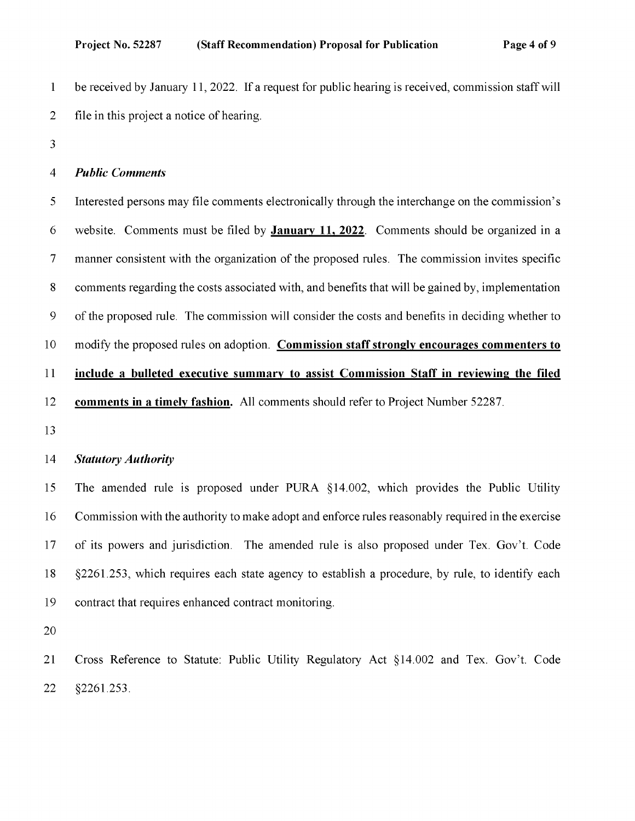1 be received by January 11,2022. If a request for public hearing is received, commission staff will 2 file in this project a notice of hearing.

3

#### *4 Public Comments*

5 Interested persons may file comments electronically through the interchange on the commission' s 6 website. Comments must be filed by January 11, 2022. Comments should be organized in a 7 manner consistent with the organization of the proposed rules. The commission invites specific 8 comments regarding the costs associated with, and benefits that will be gained by, implementation 9 of the proposed rule. The commission will consider the costs and benefits in deciding whether to 10 modify the proposed rules on adoption. Commission staff strongly encourages commenters to 11 include a bulleted executive summary to assist Commission Staff in reviewing the filed 12 comments in a timely fashion. All comments should refer to Project Number 52287. 13

#### *14 Statutory Authority*

15 The amended rule is proposed under PURA §14.002, which provides the Public Utility 16 Commission with the authority to make adopt and enforce rules reasonably required in the exercise 17 of its powers and jurisdiction. The amended rule is also proposed under Tex. Gov't. Code 18 §2261.253, which requires each state agency to establish a procedure, by rule, to identify each 19 contract that requires enhanced contract monitoring.

20

21 Cross Reference to Statute: Public Utility Regulatory Act §14.002 and Tex. Gov't. Code 22 §2261.253.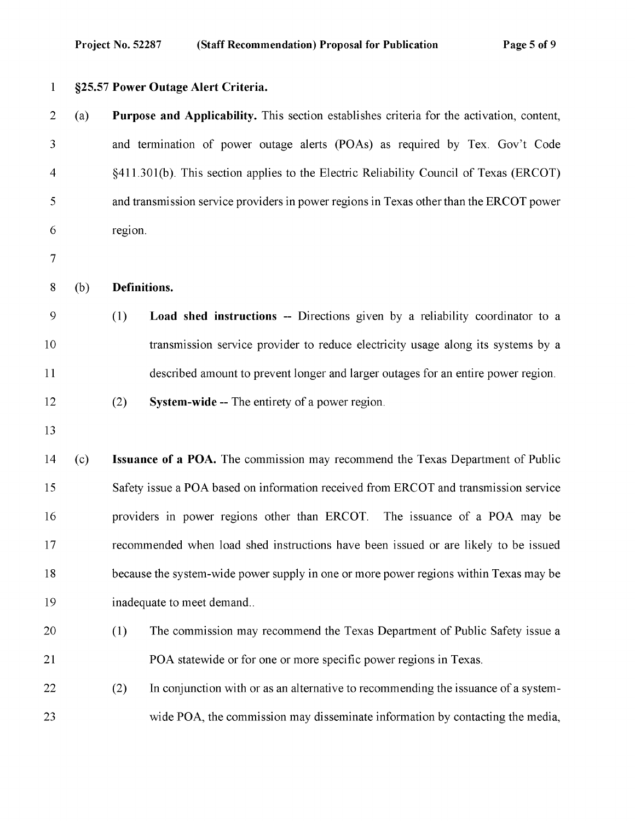| 1              | §25.57 Power Outage Alert Criteria. |                                                                                           |                                                                                         |  |  |
|----------------|-------------------------------------|-------------------------------------------------------------------------------------------|-----------------------------------------------------------------------------------------|--|--|
| $\overline{2}$ | (a)                                 | Purpose and Applicability. This section establishes criteria for the activation, content, |                                                                                         |  |  |
| 3              |                                     |                                                                                           | and termination of power outage alerts (POAs) as required by Tex. Gov't Code            |  |  |
| 4              |                                     |                                                                                           | §411.301(b). This section applies to the Electric Reliability Council of Texas (ERCOT)  |  |  |
| 5              |                                     |                                                                                           | and transmission service providers in power regions in Texas other than the ERCOT power |  |  |
| 6              |                                     |                                                                                           | region.                                                                                 |  |  |
| $\tau$         |                                     |                                                                                           |                                                                                         |  |  |
| 8              | (b)                                 |                                                                                           | Definitions.                                                                            |  |  |
| 9              |                                     | (1)                                                                                       | Load shed instructions -- Directions given by a reliability coordinator to a            |  |  |
| 10             |                                     |                                                                                           | transmission service provider to reduce electricity usage along its systems by a        |  |  |
| 11             |                                     |                                                                                           | described amount to prevent longer and larger outages for an entire power region.       |  |  |
| 12             |                                     | (2)                                                                                       | <b>System-wide --</b> The entirety of a power region.                                   |  |  |
| 13             |                                     |                                                                                           |                                                                                         |  |  |
| 14             | (c)                                 |                                                                                           | Issuance of a POA. The commission may recommend the Texas Department of Public          |  |  |
| 15             |                                     | Safety issue a POA based on information received from ERCOT and transmission service      |                                                                                         |  |  |
| 16             |                                     | providers in power regions other than ERCOT. The issuance of a POA may be                 |                                                                                         |  |  |
| 17             |                                     | recommended when load shed instructions have been issued or are likely to be issued       |                                                                                         |  |  |
| 18             |                                     |                                                                                           | because the system-wide power supply in one or more power regions within Texas may be   |  |  |
| 19             |                                     | inadequate to meet demand                                                                 |                                                                                         |  |  |
| 20             |                                     | (1)                                                                                       | The commission may recommend the Texas Department of Public Safety issue a              |  |  |
| 21             |                                     |                                                                                           | POA statewide or for one or more specific power regions in Texas.                       |  |  |
| 22             |                                     | (2)                                                                                       | In conjunction with or as an alternative to recommending the issuance of a system-      |  |  |
| 23             |                                     |                                                                                           | wide POA, the commission may disseminate information by contacting the media,           |  |  |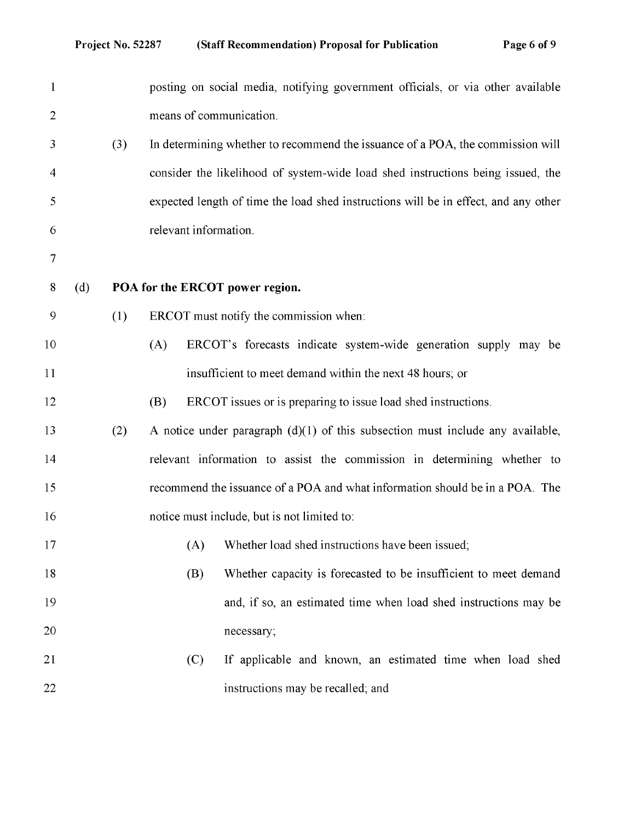| $\mathbf{1}$   |     |     |                                 | posting on social media, notifying government officials, or via other available     |
|----------------|-----|-----|---------------------------------|-------------------------------------------------------------------------------------|
| $\overline{2}$ |     |     | means of communication.         |                                                                                     |
| 3              |     | (3) |                                 | In determining whether to recommend the issuance of a POA, the commission will      |
| 4              |     |     |                                 | consider the likelihood of system-wide load shed instructions being issued, the     |
| 5              |     |     |                                 | expected length of time the load shed instructions will be in effect, and any other |
| 6              |     |     | relevant information.           |                                                                                     |
| 7              |     |     |                                 |                                                                                     |
| 8              | (d) |     | POA for the ERCOT power region. |                                                                                     |
| 9              |     | (1) |                                 | ERCOT must notify the commission when:                                              |
| 10             |     |     | (A)                             | ERCOT's forecasts indicate system-wide generation supply may be                     |
| 11             |     |     |                                 | insufficient to meet demand within the next 48 hours; or                            |
| 12             |     |     | (B)                             | ERCOT issues or is preparing to issue load shed instructions.                       |
| 13             |     | (2) |                                 | A notice under paragraph $(d)(1)$ of this subsection must include any available,    |
| 14             |     |     |                                 | relevant information to assist the commission in determining whether to             |
| 15             |     |     |                                 | recommend the issuance of a POA and what information should be in a POA. The        |
| 16             |     |     |                                 | notice must include, but is not limited to:                                         |
| 17             |     |     | (A)                             | Whether load shed instructions have been issued;                                    |
| 18             |     |     | (B)                             | Whether capacity is forecasted to be insufficient to meet demand                    |
| 19             |     |     |                                 | and, if so, an estimated time when load shed instructions may be                    |
| 20             |     |     |                                 | necessary;                                                                          |
| 21             |     |     | (C)                             | If applicable and known, an estimated time when load shed                           |
| 22             |     |     |                                 | instructions may be recalled; and                                                   |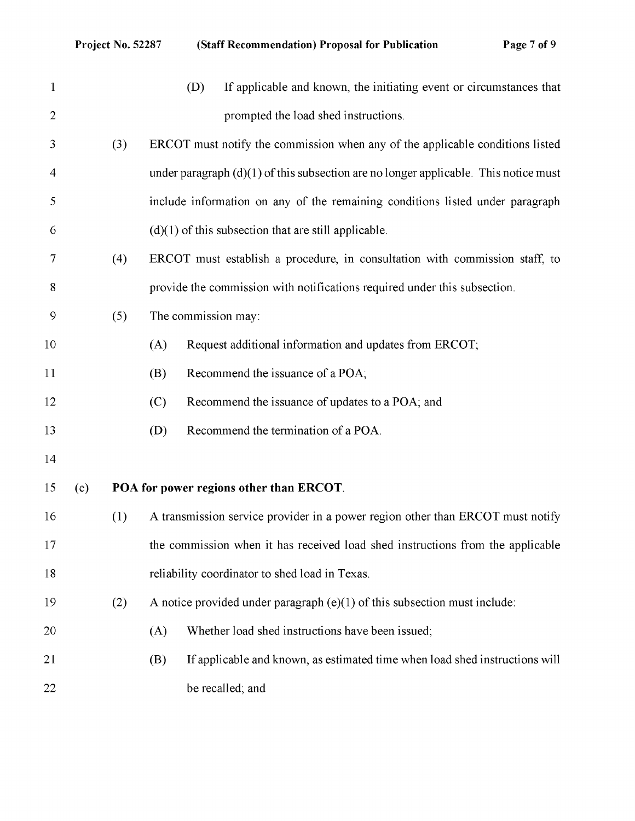| $\mathbf{1}$   |     |     | If applicable and known, the initiating event or circumstances that<br>(D)             |
|----------------|-----|-----|----------------------------------------------------------------------------------------|
| $\overline{2}$ |     |     | prompted the load shed instructions.                                                   |
| 3              |     | (3) | ERCOT must notify the commission when any of the applicable conditions listed          |
| 4              |     |     | under paragraph $(d)(1)$ of this subsection are no longer applicable. This notice must |
| 5              |     |     | include information on any of the remaining conditions listed under paragraph          |
| 6              |     |     | $(d)(1)$ of this subsection that are still applicable.                                 |
| 7              |     | (4) | ERCOT must establish a procedure, in consultation with commission staff, to            |
| 8              |     |     | provide the commission with notifications required under this subsection.              |
| 9              |     | (5) | The commission may:                                                                    |
| 10             |     |     | Request additional information and updates from ERCOT;<br>(A)                          |
| 11             |     |     | Recommend the issuance of a POA;<br>(B)                                                |
| 12             |     |     | Recommend the issuance of updates to a POA; and<br>(C)                                 |
| 13             |     |     | Recommend the termination of a POA.<br>(D)                                             |
| 14             |     |     |                                                                                        |
| 15             | (e) |     | POA for power regions other than ERCOT.                                                |
| 16             |     | (1) | A transmission service provider in a power region other than ERCOT must notify         |
| 17             |     |     | the commission when it has received load shed instructions from the applicable         |
| 18             |     |     | reliability coordinator to shed load in Texas.                                         |
| 19             |     | (2) | A notice provided under paragraph $(e)(1)$ of this subsection must include:            |
| 20             |     |     | Whether load shed instructions have been issued;<br>(A)                                |
| 21             |     |     | If applicable and known, as estimated time when load shed instructions will<br>(B)     |
| 22             |     |     | be recalled; and                                                                       |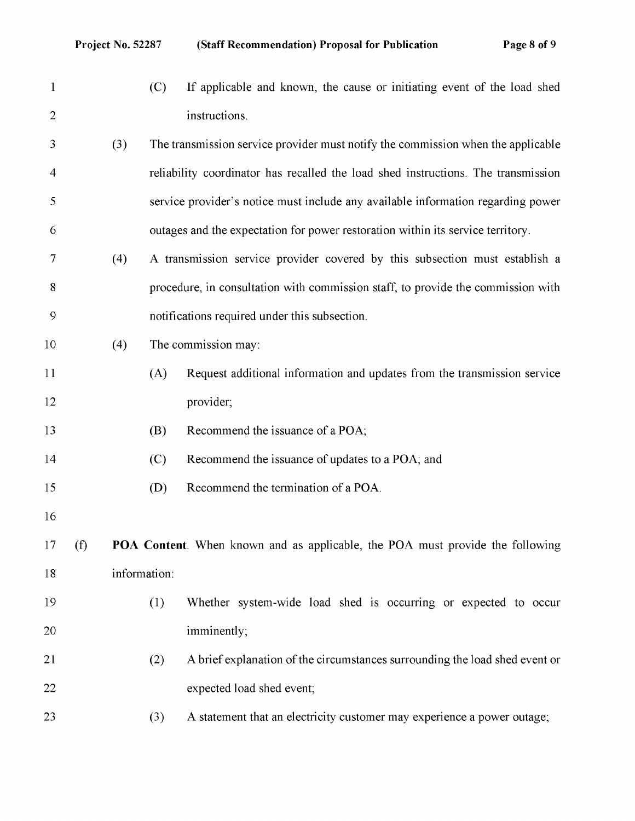1 (C) If applicable and known, the cause or initiating event of the load shed 2 instructions. 3 (3) The transmission service provider must notify the commission when the applicable 4 reliability coordinator has recalled the load shed instructions. The transmission 5 service provider' s notice must include any available information regarding power 6 outages and the expectation for power restoration within its service territory. 7 (4) A transmission service provider covered by this subsection must establish a 8 procedure, in consultation with commission staff, to provide the commission with 9 notifications required under this subsection. 10 (4) The commission may: 11 (A) Request additional information and updates from the transmission service 12 provider; 13 (B) Recommend the issuance of a POA; 14 (C) Recommend the issuance of updates to a POA; and 15 (D) Recommend the termination of a POA. 16 17 (f) POA Content. When known and as applicable, the POA must provide the following 18 information: 19 (1) Whether system-wide load shed is occurring or expected to occur 20 imminently; 21 (2) A brief explanation of the circumstances surrounding the load shed event or 22 expected load shed event; 23 (3) A statement that an electricity customer may experience a power outage;